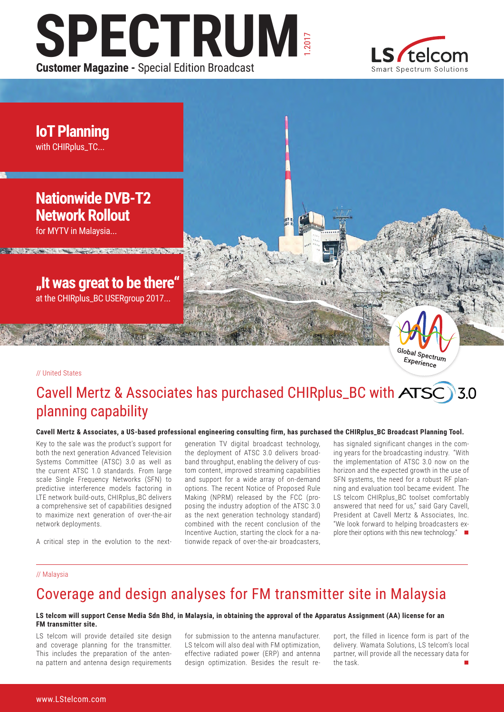# **SPECTRUM** 1.2017 **Customer Magazine -** Special Edition Broadcast



**IoT Planning** with CHIRplus\_TC...

## **Nationwide DVB-T2 Network Rollout**

for MYTV in Malaysia...

**"It was great to be there"** at the CHIRplus\_BC USERgroup 2017...

## // United States

## Cavell Mertz & Associates has purchased CHIRplus\_BC with ATSC 3.0 planning capability

## **Cavell Mertz & Associates, a US-based professional engineering consulting firm, has purchased the CHIRplus\_BC Broadcast Planning Tool.**

Key to the sale was the product's support for both the next generation Advanced Television Systems Committee (ATSC) 3.0 as well as the current ATSC 1.0 standards. From large scale Single Frequency Networks (SFN) to predictive interference models factoring in LTE network build-outs, CHIRplus\_BC delivers a comprehensive set of capabilities designed to maximize next generation of over-the-air network deployments.

A critical step in the evolution to the next-

generation TV digital broadcast technology, the deployment of ATSC 3.0 delivers broadband throughput, enabling the delivery of custom content, improved streaming capabilities and support for a wide array of on-demand options. The recent Notice of Proposed Rule Making (NPRM) released by the FCC (proposing the industry adoption of the ATSC 3.0 as the next generation technology standard) combined with the recent conclusion of the Incentive Auction, starting the clock for a nationwide repack of over-the-air broadcasters,

has signaled significant changes in the coming years for the broadcasting industry. "With the implementation of ATSC 3.0 now on the horizon and the expected growth in the use of SFN systems, the need for a robust RF planning and evaluation tool became evident. The LS telcom CHIRplus BC toolset comfortably answered that need for us," said Gary Cavell, President at Cavell Mertz & Associates, Inc. "We look forward to helping broadcasters explore their options with this new technology."  $\blacksquare$ 

Global Spectrum Experience

### // Malaysia

## Coverage and design analyses for FM transmitter site in Malaysia

### **LS telcom will support Cense Media Sdn Bhd, in Malaysia, in obtaining the approval of the Apparatus Assignment (AA) license for an FM transmitter site.**

LS telcom will provide detailed site design and coverage planning for the transmitter. This includes the preparation of the antenna pattern and antenna design requirements

for submission to the antenna manufacturer. LS telcom will also deal with FM optimization, effective radiated power (ERP) and antenna design optimization. Besides the result re-

port, the filled in licence form is part of the delivery. Wamata Solutions, LS telcom's local partner, will provide all the necessary data for the task.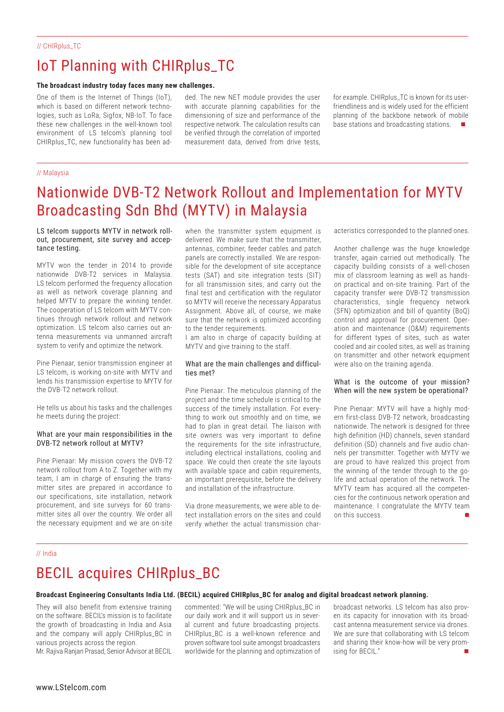## IoT Planning with CHIRplus\_TC

## **The broadcast industry today faces many new challenges.**

One of them is the Internet of Things (IoT), which is based on different network technologies, such as LoRa, Sigfox, NB-IoT. To face these new challenges in the well-known tool environment of LS telcom's planning tool CHIRplus\_TC, new functionality has been added. The new NET module provides the user with accurate planning capabilities for the dimensioning of size and performance of the respective network. The calculation results can be verified through the correlation of imported measurement data, derived from drive tests,

for example. CHIRplus\_TC is known for its userfriendliness and is widely used for the efficient planning of the backbone network of mobile base stations and broadcasting stations.  $\Box$ 

## // Malaysia

# Nationwide DVB-T2 Network Rollout and Implementation for MYTV Broadcasting Sdn Bhd (MYTV) in Malaysia

### LS telcom supports MYTV in network rollout, procurement, site survey and acceptance testing.

MYTV won the tender in 2014 to provide nationwide DVB-T2 services in Malaysia. LS telcom performed the frequency allocation as well as network coverage planning and helped MYTV to prepare the winning tender. The cooperation of LS telcom with MYTV continues through network rollout and network optimization. LS telcom also carries out antenna measurements via unmanned aircraft system to verify and optimize the network.

Pine Pienaar, senior transmission engineer at LS telcom, is working on-site with MYTV and lends his transmission expertise to MYTV for the DVB-T2 network rollout.

He tells us about his tasks and the challenges he meets during the project:

### What are your main responsibilities in the DVB-T2 network rollout at MYTV?

Pine Pienaar: My mission covers the DVB-T2 network rollout from A to Z. Together with my team, I am in charge of ensuring the transmitter sites are prepared in accordance to our specifications, site installation, network procurement, and site surveys for 60 transmitter sites all over the country. We order all the necessary equipment and we are on-site

when the transmitter system equipment is delivered. We make sure that the transmitter, antennas, combiner, feeder cables and patch panels are correctly installed. We are responsible for the development of site acceptance tests (SAT) and site integration tests (SIT) for all transmission sites, and carry out the final test and certification with the regulator so MYTV will receive the necessary Apparatus Assignment. Above all, of course, we make sure that the network is optimized according to the tender requirements.

I am also in charge of capacity building at MYTV and give training to the staff.

## What are the main challenges and difficulties met?

Pine Pienaar: The meticulous planning of the project and the time schedule is critical to the success of the timely installation. For everything to work out smoothly and on time, we had to plan in great detail. The liaison with site owners was very important to define the requirements for the site infrastructure, including electrical installations, cooling and space. We could then create the site layouts with available space and cabin requirements, an important prerequisite, before the delivery and installation of the infrastructure.

Via drone measurements, we were able to detect installation errors on the sites and could verify whether the actual transmission characteristics corresponded to the planned ones.

Another challenge was the huge knowledge transfer, again carried out methodically. The capacity building consists of a well-chosen mix of classroom learning as well as handson practical and on-site training. Part of the capacity transfer were DVB-T2 transmission characteristics, single frequency network (SFN) optimization and bill of quantity (BoQ) control and approval for procurement. Operation and maintenance (O&M) requirements for different types of sites, such as water cooled and air cooled sites, as well as training on transmitter and other network equipment were also on the training agenda.

## What is the outcome of your mission? When will the new system be operational?

Pine Pienaar: MYTV will have a highly modern first-class DVB-T2 network, broadcasting nationwide. The network is designed for three high definition (HD) channels, seven standard definition (SD) channels and five audio channels per transmitter. Together with MYTV we are proud to have realized this project from the winning of the tender through to the golife and actual operation of the network. The MYTV team has acquired all the competencies for the continuous network operation and maintenance. I congratulate the MYTV team on this success.

#### // India

## BECIL acquires CHIRplus\_BC

### **Broadcast Engineering Consultants India Ltd. (BECIL) acquired CHIRplus\_BC for analog and digital broadcast network planning.**

They will also benefit from extensive training on the software. BECIL's mission is to facilitate the growth of broadcasting in India and Asia and the company will apply CHIRplus\_BC in various projects across the region.

Mr. Rajiva Ranjan Prasad, Senior Advisor at BECIL

commented: "We will be using CHIRplus\_BC in our daily work and it will support us in several current and future broadcasting projects. CHIRplus\_BC is a well-known reference and proven software tool suite amongst broadcasters worldwide for the planning and optimization of

broadcast networks. LS telcom has also proven its capacity for innovation with its broadcast antenna measurement service via drones. We are sure that collaborating with LS telcom and sharing their know-how will be very promising for BECIL."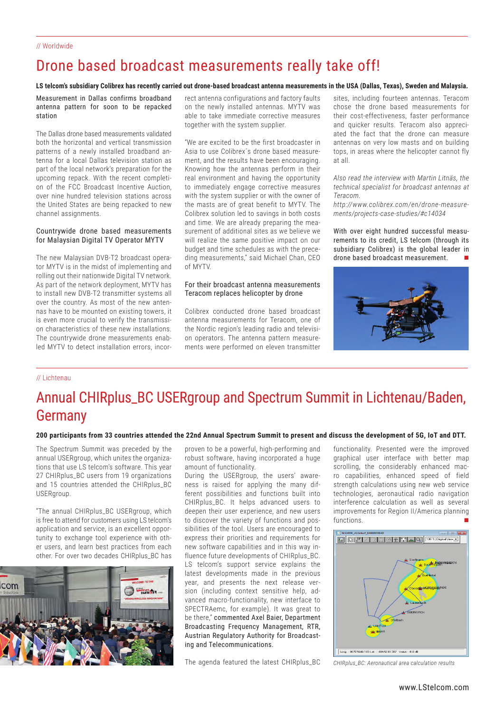## Drone based broadcast measurements really take off!

## **LS telcom's subsidiary Colibrex has recently carried out drone-based broadcast antenna measurements in the USA (Dallas, Texas), Sweden and Malaysia.**

Measurement in Dallas confirms broadband antenna pattern for soon to be repacked station

The Dallas drone based measurements validated both the horizontal and vertical transmission patterns of a newly installed broadband antenna for a local Dallas television station as part of the local network's preparation for the upcoming repack. With the recent completion of the FCC Broadcast Incentive Auction, over nine hundred television stations across the United States are being repacked to new channel assignments.

#### Countrywide drone based measurements for Malaysian Digital TV Operator MYTV

The new Malaysian DVB-T2 broadcast operator MYTV is in the midst of implementing and rolling out their nationwide Digital TV network. As part of the network deployment, MYTV has to install new DVB-T2 transmitter systems all over the country. As most of the new antennas have to be mounted on existing towers, it is even more crucial to verify the transmission characteristics of these new installations. The countrywide drone measurements enabled MYTV to detect installation errors, incorrect antenna configurations and factory faults on the newly installed antennas. MYTV was able to take immediate corrective measures together with the system supplier.

"We are excited to be the first broadcaster in Asia to use Colibrex´s drone based measurement, and the results have been encouraging. Knowing how the antennas perform in their real environment and having the opportunity to immediately engage corrective measures with the system supplier or with the owner of the masts are of great benefit to MYTV. The Colibrex solution led to savings in both costs and time. We are already preparing the measurement of additional sites as we believe we will realize the same positive impact on our budget and time schedules as with the preceding measurements," said Michael Chan, CEO of MYTV.

### For their broadcast antenna measurements Teracom replaces helicopter by drone

Colibrex conducted drone based broadcast antenna measurements for Teracom, one of the Nordic region's leading radio and television operators. The antenna pattern measurements were performed on eleven transmitter

sites, including fourteen antennas. Teracom chose the drone based measurements for their cost-effectiveness, faster performance and quicker results. Teracom also appreciated the fact that the drone can measure antennas on very low masts and on building tops, in areas where the helicopter cannot fly at all.

*Also read the interview with Martin Litnäs, the technical specialist for broadcast antennas at Teracom.*

*http://www.colibrex.com/en/drone-measurements/projects-case-studies/#c14034*

With over eight hundred successful measurements to its credit, LS telcom (through its subsidiary Colibrex) is the global leader in drone based broadcast measurement.



## // Lichtenau

# Annual CHIRplus\_BC USERgroup and Spectrum Summit in Lichtenau/Baden, Germany

## **200 participants from 33 countries attended the 22nd Annual Spectrum Summit to present and discuss the development of 5G, IoT and DTT.**

The Spectrum Summit was preceded by the annual USERgroup, which unites the organizations that use LS telcom's software. This year 27 CHIRplus\_BC users from 19 organizations and 15 countries attended the CHIRplus\_BC USERgroup.

"The annual CHIRplus\_BC USERgroup, which is free to attend for customers using LS telcom's application and service, is an excellent opportunity to exchange tool experience with other users, and learn best practices from each other. For over two decades CHIRplus\_BC has



proven to be a powerful, high-performing and robust software, having incorporated a huge amount of functionality.

During the USERgroup, the users' awareness is raised for applying the many different possibilities and functions built into CHIRplus\_BC. It helps advanced users to deepen their user experience, and new users to discover the variety of functions and possibilities of the tool. Users are encouraged to express their priorities and requirements for new software capabilities and in this way influence future developments of CHIRplus\_BC. LS telcom's support service explains the latest developments made in the previous year, and presents the next release version (including context sensitive help, advanced macro-functionality, new interface to SPECTRAemc, for example). It was great to be there," commented Axel Baier, Department Broadcasting Frequency Management, RTR, Austrian Regulatory Authority for Broadcasting and Telecommunications.

The agenda featured the latest CHIRplus\_BC

functionality. Presented were the improved graphical user interface with better map scrolling, the considerably enhanced macro capabilities, enhanced speed of field strength calculations using new web service technologies, aeronautical radio navigation interference calculation as well as several improvements for Region II/America planning functions.



*CHIRplus\_BC: Aeronautical area calculation results*